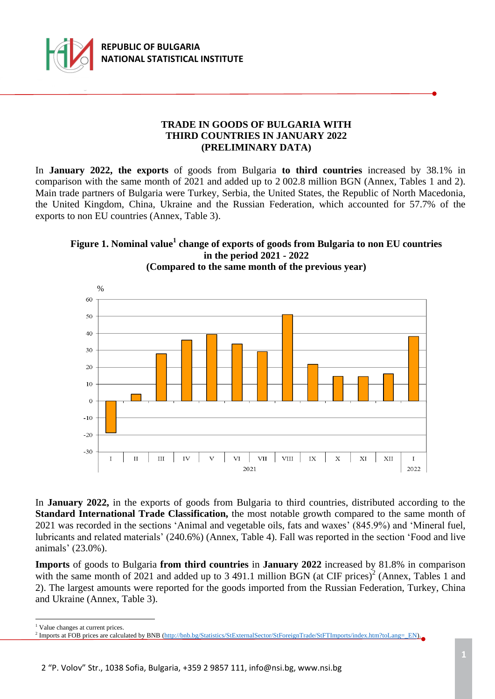

## **TRADE IN GOODS OF BULGARIA WITH THIRD COUNTRIES IN JANUARY 2022 (PRELIMINARY DATA)**

In **January 2022, the exports** of goods from Bulgaria **to third countries** increased by 38.1% in comparison with the same month of 2021 and added up to 2 002.8 million BGN (Annex, Tables 1 and 2). Main trade partners of Bulgaria were Turkey, Serbia, the United States, the Republic of North Macedonia, the United Kingdom, China, Ukraine and the Russian Federation, which accounted for 57.7% of the exports to non EU countries (Annex, Table 3).

## **Figure 1. Nominal value<sup>1</sup> change of exports of goods from Bulgaria to non EU countries in the period 2021 - 2022 (Compared to the same month of the previous year)**



In **January 2022,** in the exports of goods from Bulgaria to third countries, distributed according to the **Standard International Trade Classification,** the most notable growth compared to the same month of 2021 was recorded in the sections 'Animal and vegetable oils, fats and waxes' (845.9%) and 'Mineral fuel, lubricants and related materials' (240.6%) (Annex, Table 4). Fall was reported in the section 'Food and live animals' (23.0%).

**Imports** of goods to Bulgaria **from third countries** in **January 2022** increased by 81.8% in comparison with the same month of 2021 and added up to 3 491.1 million BGN (at CIF prices)<sup>2</sup> (Annex, Tables 1 and 2). The largest amounts were reported for the goods imported from the Russian Federation, Turkey, China and Ukraine (Annex, Table 3).

i<br>L

<sup>&</sup>lt;sup>1</sup> Value changes at current prices.

<sup>&</sup>lt;sup>2</sup> Imports at FOB prices are calculated by BNB [\(http://bnb.bg/Statistics/StExternalSector/StForeignTrade/StFTImports/index.htm?toLang=\\_EN\)](http://bnb.bg/Statistics/StExternalSector/StForeignTrade/StFTImports/index.htm?toLang=_EN).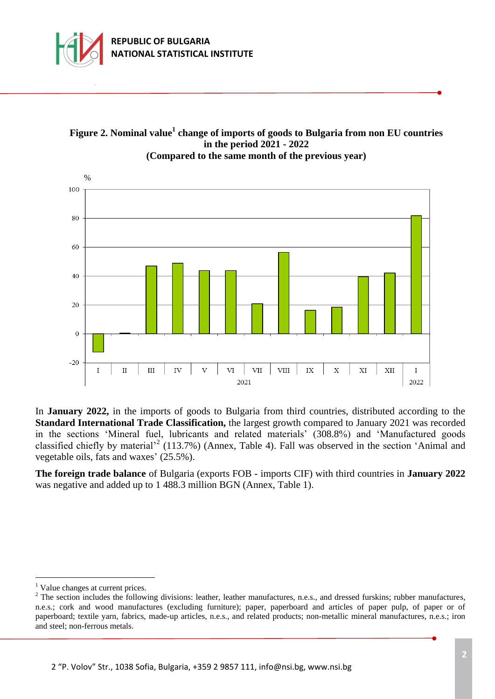



**Figure 2. Nominal value<sup>1</sup> change of imports of goods to Bulgaria from non EU countries in the period 2021 - 2022 (Compared to the same month of the previous year)**

In **January 2022,** in the imports of goods to Bulgaria from third countries, distributed according to the **Standard International Trade Classification,** the largest growth compared to January 2021 was recorded in the sections 'Mineral fuel, lubricants and related materials' (308.8%) and 'Manufactured goods classified chiefly by material<sup>2</sup> (113.7%) (Annex, Table 4). Fall was observed in the section 'Animal and vegetable oils, fats and waxes' (25.5%).

**The foreign trade balance** of Bulgaria (exports FOB - imports CIF) with third countries in **January 2022** was negative and added up to 1 488.3 million BGN (Annex, Table 1).

L,

<sup>&</sup>lt;sup>1</sup> Value changes at current prices.

<sup>&</sup>lt;sup>2</sup> The section includes the following divisions: leather, leather manufactures, n.e.s., and dressed furskins; rubber manufactures, n.e.s.; cork and wood manufactures (excluding furniture); paper, paperboard and articles of paper pulp, of paper or of paperboard; textile yarn, fabrics, made-up articles, n.e.s., and related products; non-metallic mineral manufactures, n.e.s.; iron and steel; non-ferrous metals.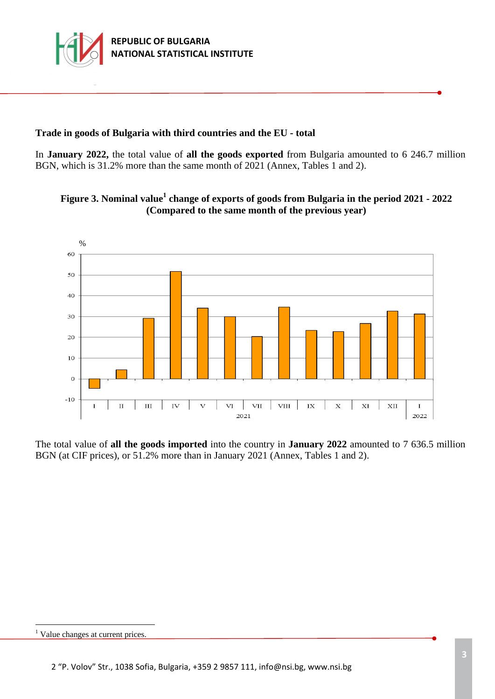

# **Trade in goods of Bulgaria with third countries and the EU - total**

In **January 2022,** the total value of **all the goods exported** from Bulgaria amounted to 6 246.7 million BGN, which is 31.2% more than the same month of 2021 (Annex, Tables 1 and 2).





The total value of **all the goods imported** into the country in **January 2022** amounted to 7 636.5 million BGN (at CIF prices), or 51.2% more than in January 2021 (Annex, Tables 1 and 2).

i<br>L

<sup>&</sup>lt;sup>1</sup> Value changes at current prices.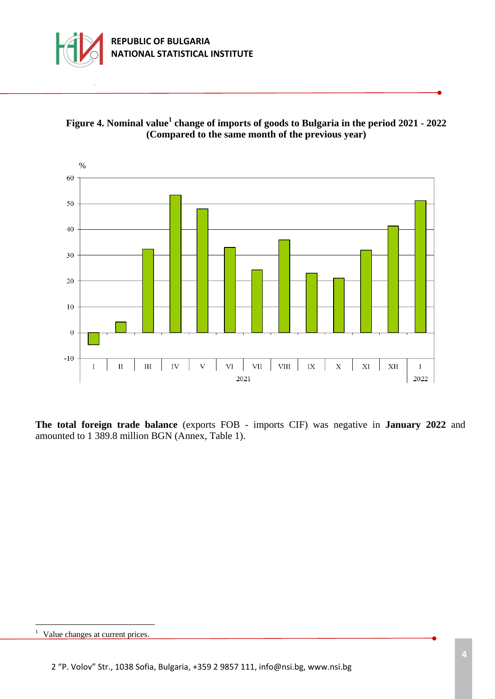





**The total foreign trade balance** (exports FOB - imports CIF) was negative in **January 2022** and amounted to 1 389.8 million BGN (Annex, Table 1).

i<br>L

 $<sup>1</sup>$  Value changes at current prices.</sup>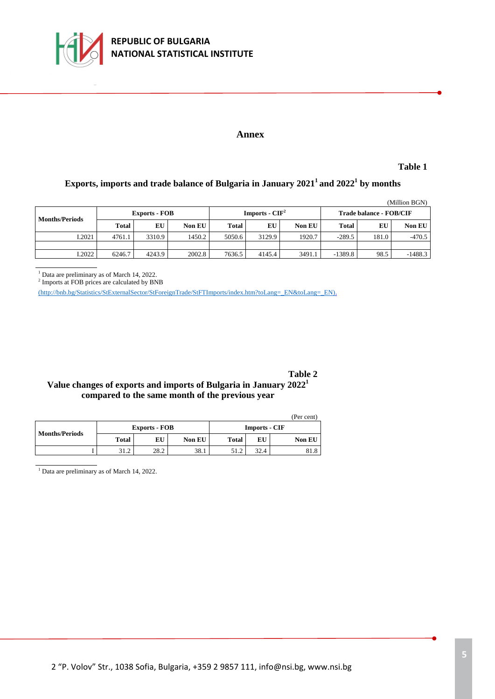

#### **Annex**

**Table 1**

### **Exports, imports and trade balance of Bulgaria in January 2021<sup>1</sup>and 2022<sup>1</sup> by months**

| (Million BGN)         |                      |        |               |                  |        |               |                         |       |               |  |
|-----------------------|----------------------|--------|---------------|------------------|--------|---------------|-------------------------|-------|---------------|--|
| <b>Months/Periods</b> | <b>Exports - FOB</b> |        |               | Imports - $CIF2$ |        |               | Trade balance - FOB/CIF |       |               |  |
|                       | <b>Total</b>         | EU     | <b>Non EU</b> | <b>Total</b>     | EU     | <b>Non EU</b> | <b>Total</b>            | EU    | <b>Non EU</b> |  |
| I.2021                | 4761.1               | 3310.9 | 1450.2        | 5050.6           | 3129.9 | 1920.7        | $-289.5$                | 181.0 | $-470.5$      |  |
|                       |                      |        |               |                  |        |               |                         |       |               |  |
| I.2022                | 6246.7               | 4243.9 | 2002.8        | 7636.5           | 4145.4 | 3491.1        | $-1389.8$               | 98.5  | $-1488.3$     |  |

<sup>1</sup> Data are preliminary as of March 14, 2022.

2 Imports at FOB prices are calculated by BNB

[\(http://bnb.bg/Statistics/StExternalSector/StForeignTrade/StFTImports/index.htm?toLang=\\_EN&toLang=\\_EN\).](http://bnb.bg/Statistics/StExternalSector/StForeignTrade/StFTImports/index.htm?toLang=_EN&toLang=_EN)

**Table 2**

### **Value changes of exports and imports of Bulgaria in January 2022<sup>1</sup> compared to the same month of the previous year**

|                       |              |                      |               |                      |      | (Per cent)    |  |
|-----------------------|--------------|----------------------|---------------|----------------------|------|---------------|--|
| <b>Months/Periods</b> |              | <b>Exports - FOB</b> |               | <b>Imports - CIF</b> |      |               |  |
|                       | <b>Total</b> | EU                   | <b>Non EU</b> | Total                | EU   | <b>Non EU</b> |  |
|                       | 31.2         | 28.2                 | 38.1          |                      | 32.4 | 81.8          |  |

<sup>1</sup> Data are preliminary as of March 14, 2022.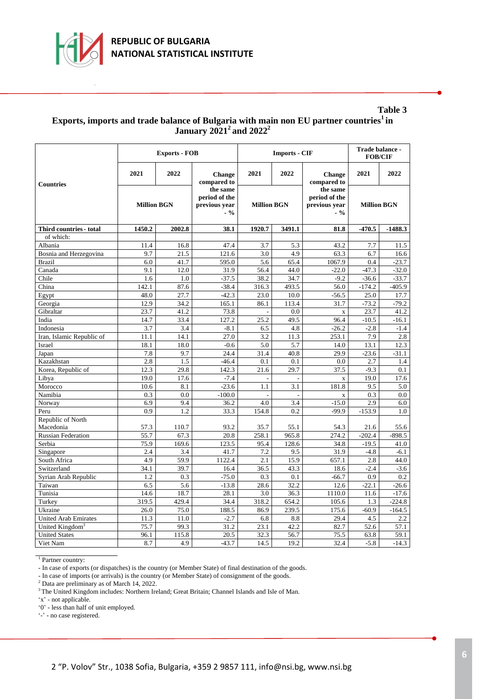

#### **Table 3 Exports, imports and trade balance of Bulgaria with main non EU partner countries<sup>1</sup>in January 2021<sup>2</sup>and 2022<sup>2</sup>**

|                             |                    | <b>Exports - FOB</b> |                                                     |                    | <b>Imports - CIF</b> | Trade balance -<br><b>FOB/CIF</b>                   |                    |           |
|-----------------------------|--------------------|----------------------|-----------------------------------------------------|--------------------|----------------------|-----------------------------------------------------|--------------------|-----------|
| <b>Countries</b>            | 2021               | 2022                 | Change<br>compared to                               | 2021               | 2022                 | <b>Change</b><br>compared to                        | 2021               | 2022      |
|                             | <b>Million BGN</b> |                      | the same<br>period of the<br>previous vear<br>$-$ % | <b>Million BGN</b> |                      | the same<br>period of the<br>previous vear<br>$-$ % | <b>Million BGN</b> |           |
| Third countries - total     | 1450.2             | 2002.8               | 38.1                                                | 1920.7             | 3491.1               | 81.8                                                | $-470.5$           | $-1488.3$ |
| of which:                   |                    |                      |                                                     |                    |                      |                                                     |                    |           |
| Albania                     | 11.4               | 16.8                 | 47.4                                                | 3.7                | 5.3                  | 43.2                                                | 7.7                | 11.5      |
| Bosnia and Herzegovina      | 9.7                | 21.5                 | 121.6                                               | 3.0                | 4.9                  | 63.3                                                | 6.7                | 16.6      |
| <b>Brazil</b>               | 6.0                | 41.7                 | 595.0                                               | 5.6                | 65.4                 | 1067.9                                              | 0.4                | $-23.7$   |
| Canada                      | 9.1                | 12.0                 | 31.9                                                | 56.4               | 44.0                 | $-22.0$                                             | $-47.3$            | $-32.0$   |
| Chile                       | 1.6                | 1.0                  | $-37.5$                                             | 38.2               | 34.7                 | $-9.2$                                              | $-36.6$            | $-33.7$   |
| China                       | 142.1              | 87.6                 | $-38.4$                                             | 316.3              | 493.5                | 56.0                                                | $-174.2$           | $-405.9$  |
| Egypt                       | 48.0               | 27.7                 | $-42.3$                                             | 23.0               | 10.0                 | $-56.5$                                             | 25.0               | 17.7      |
| Georgia                     | 12.9               | 34.2                 | 165.1                                               | 86.1               | 113.4                | 31.7                                                | $-73.2$            | $-79.2$   |
| Gibraltar                   | 23.7               | 41.2                 | 73.8                                                |                    | 0.0                  | $\mathbf X$                                         | 23.7               | 41.2      |
| India                       | 14.7               | 33.4                 | 127.2                                               | 25.2               | 49.5                 | 96.4                                                | $-10.5$            | $-16.1$   |
| Indonesia                   | 3.7                | 3.4                  | $-8.1$                                              | 6.5                | 4.8                  | $-26.2$                                             | $-2.8$             | $-1.4$    |
| Iran, Islamic Republic of   | 11.1               | 14.1                 | 27.0                                                | 3.2                | 11.3                 | 253.1                                               | 7.9                | 2.8       |
| Israel                      | 18.1               | 18.0                 | $-0.6$                                              | 5.0                | 5.7                  | 14.0                                                | 13.1               | 12.3      |
| Japan                       | 7.8                | 9.7                  | 24.4                                                | 31.4               | 40.8                 | 29.9                                                | $-23.6$            | $-31.1$   |
| Kazakhstan                  | 2.8                | 1.5                  | $-46.4$                                             | 0.1                | 0.1                  | 0.0                                                 | 2.7                | 1.4       |
| Korea, Republic of          | 12.3               | 29.8                 | 142.3                                               | 21.6               | 29.7                 | 37.5                                                | $-9.3$             | 0.1       |
| Libya                       | 19.0               | 17.6                 | $-7.4$                                              | ÷                  | ÷.                   | $\bar{\mathbf{X}}$                                  | 19.0               | 17.6      |
| Morocco                     | 10.6               | 8.1                  | $-23.6$                                             | 1.1                | 3.1                  | 181.8                                               | 9.5                | 5.0       |
| Namibia                     | 0.3                | 0.0                  | $-100.0$                                            | L.                 | $\overline{a}$       | $\mathbf X$                                         | 0.3                | 0.0       |
| Norway                      | 6.9                | 9.4                  | 36.2                                                | 4.0                | 3.4                  | $-15.0$                                             | 2.9                | 6.0       |
| Peru                        | 0.9                | 1.2                  | 33.3                                                | 154.8              | 0.2                  | $-99.9$                                             | $-153.9$           | 1.0       |
| Republic of North           |                    |                      |                                                     |                    |                      |                                                     |                    |           |
| Macedonia                   | 57.3               | 110.7                | 93.2                                                | 35.7               | 55.1                 | 54.3                                                | 21.6               | 55.6      |
| <b>Russian Federation</b>   | 55.7               | 67.3                 | 20.8                                                | 258.1              | 965.8                | 274.2                                               | $-202.4$           | $-898.5$  |
| Serbia                      | 75.9               | 169.6                | 123.5                                               | 95.4               | 128.6                | 34.8                                                | $-19.5$            | 41.0      |
| Singapore                   | 2.4                | 3.4                  | 41.7                                                | 7.2                | 9.5                  | 31.9                                                | $-4.8$             | $-6.1$    |
| South Africa                | 4.9                | 59.9                 | 1122.4                                              | 2.1                | 15.9                 | 657.1                                               | 2.8                | 44.0      |
| Switzerland                 | 34.1               | 39.7                 | 16.4                                                | 36.5               | 43.3                 | 18.6                                                | $-2.4$             | $-3.6$    |
| Syrian Arab Republic        | 1.2                | 0.3                  | $-75.0$                                             | 0.3                | 0.1                  | $-66.7$                                             | 0.9                | 0.2       |
| Taiwan                      | 6.5                | 5.6                  | $-13.8$                                             | 28.6               | 32.2                 | 12.6                                                | $-22.1$            | $-26.6$   |
| Tunisia                     | 14.6               | 18.7                 | 28.1                                                | 3.0                | 36.3                 | 1110.0                                              | 11.6               | $-17.6$   |
| Turkey                      | 319.5              | 429.4                | 34.4                                                | 318.2              | 654.2                | 105.6                                               | 1.3                | $-224.8$  |
| Ukraine                     | 26.0               | 75.0                 | 188.5                                               | 86.9               | 239.5                | 175.6                                               | $-60.9$            | $-164.5$  |
| <b>United Arab Emirates</b> | 11.3               | 11.0                 | $-2.7$                                              | 6.8                | 8.8                  | 29.4                                                | 4.5                | 2.2       |
| United Kingdom <sup>3</sup> | 75.7               | 99.3                 | 31.2                                                | 23.1               | 42.2                 | 82.7                                                | 52.6               | 57.1      |
| <b>United States</b>        | 96.1               | 115.8                | 20.5                                                | 32.3               | 56.7                 | 75.5                                                | 63.8               | 59.1      |
| Viet Nam                    | 8.7                | 4.9                  | $-43.7$                                             | 14.5               | 19.2                 | 32.4                                                | $-5.8$             | $-14.3$   |

<sup>1</sup> Partner country:

- In case of exports (or dispatches) is the country (or Member State) of final destination of the goods.

- In case of imports (or arrivals) is the country (or Member State) of consignment of the goods.

<sup>2</sup> Data are preliminary as of March 14, 2022.

<sup>3</sup>The United Kingdom includes: Northern Ireland; Great Britain; Channel Islands and Isle of Man.

'x' - not applicable.

'0' - less than half of unit employed.

'-' - no case registered.